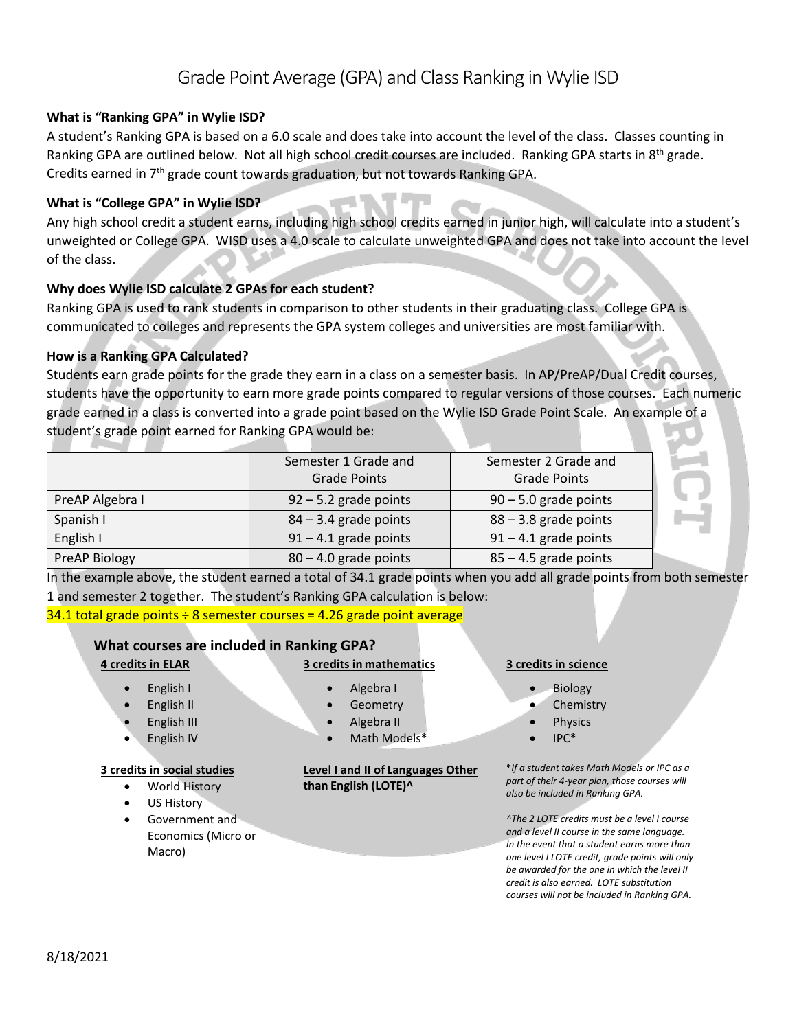# Grade Point Average (GPA) and Class Ranking in Wylie ISD

## **What is "Ranking GPA" in Wylie ISD?**

A student's Ranking GPA is based on a 6.0 scale and does take into account the level of the class. Classes counting in Ranking GPA are outlined below. Not all high school credit courses are included. Ranking GPA starts in 8<sup>th</sup> grade. Credits earned in  $7<sup>th</sup>$  grade count towards graduation, but not towards Ranking GPA.

# **What is "College GPA" in Wylie ISD?**

Any high school credit a student earns, including high school credits earned in junior high, will calculate into a student's unweighted or College GPA. WISD uses a 4.0 scale to calculate unweighted GPA and does not take into account the level of the class.

# **Why does Wylie ISD calculate 2 GPAs for each student?**

Ranking GPA is used to rank students in comparison to other students in their graduating class. College GPA is communicated to colleges and represents the GPA system colleges and universities are most familiar with.

# **How is a Ranking GPA Calculated?**

Students earn grade points for the grade they earn in a class on a semester basis. In AP/PreAP/Dual Credit courses, students have the opportunity to earn more grade points compared to regular versions of those courses. Each numeric grade earned in a class is converted into a grade point based on the Wylie ISD Grade Point Scale. An example of a student's grade point earned for Ranking GPA would be:

|                 | Semester 1 Grade and<br><b>Grade Points</b> | Semester 2 Grade and<br><b>Grade Points</b> |  |
|-----------------|---------------------------------------------|---------------------------------------------|--|
| PreAP Algebra I | $92 - 5.2$ grade points                     | $90 - 5.0$ grade points                     |  |
| Spanish I       | $84 - 3.4$ grade points                     | $88 - 3.8$ grade points                     |  |
| English I       | $91 - 4.1$ grade points                     | $91 - 4.1$ grade points                     |  |
| PreAP Biology   | $80 - 4.0$ grade points                     | $85 - 4.5$ grade points                     |  |

In the example above, the student earned a total of 34.1 grade points when you add all grade points from both semester 1 and semester 2 together. The student's Ranking GPA calculation is below:

 $34.1$  total grade points  $\div$  8 semester courses = 4.26 grade point average

# **What courses are included in Ranking GPA?**

# **4 credits in ELAR**

- English I
- English II
- English III
- English IV

## **3 credits in social studies**

- World History
- US History
- Government and Economics (Micro or Macro)

# **3 credits in mathematics**

- Algebra I
- **Geometry**
- Algebra II
- Math Models\*

### **Level I and II of Languages Other than English (LOTE)^**

### **3 credits in science**

- Biology
- **Chemistry**
- **Physics** 
	- IPC\*

\**If a student takes Math Models or IPC as a part of their 4-year plan, those courses will also be included in Ranking GPA.*

*^The 2 LOTE credits must be a level I course and a level II course in the same language. In the event that a student earns more than one level I LOTE credit, grade points will only be awarded for the one in which the level II credit is also earned. LOTE substitution courses will not be included in Ranking GPA.*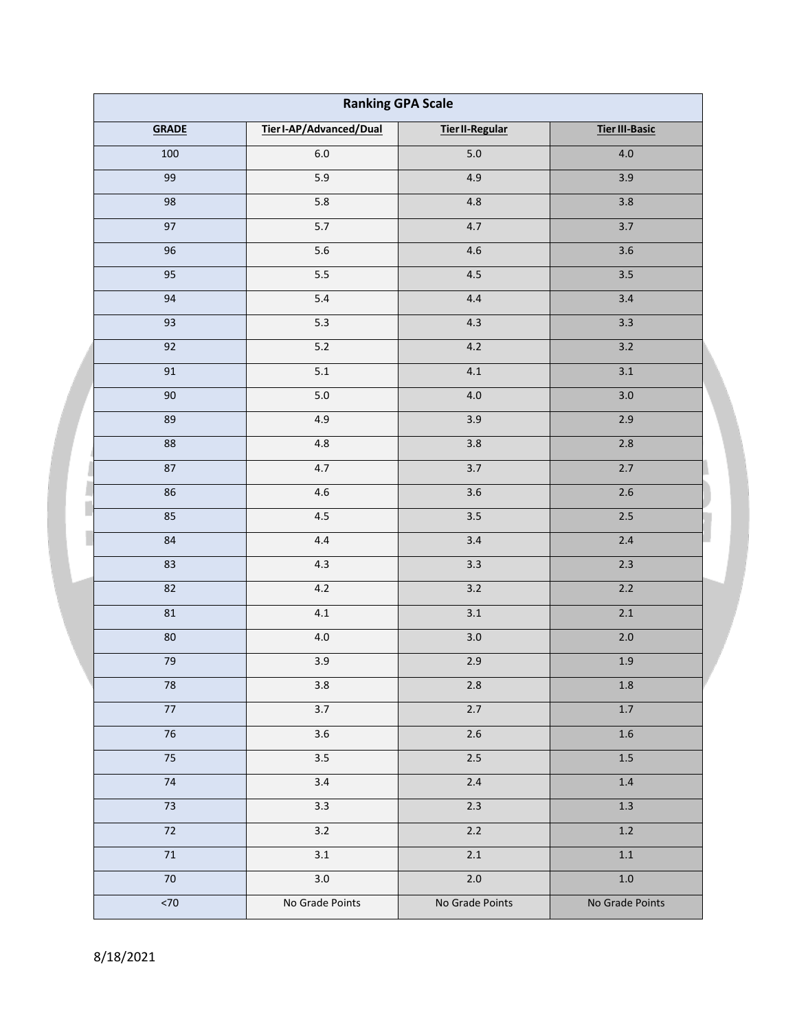| <b>Ranking GPA Scale</b> |                         |                        |                       |  |  |
|--------------------------|-------------------------|------------------------|-----------------------|--|--|
| <b>GRADE</b>             | Tier I-AP/Advanced/Dual | <b>Tier II-Regular</b> | <b>Tier III-Basic</b> |  |  |
| 100                      | $6.0\,$                 | $5.0$                  | 4.0                   |  |  |
| 99                       | 5.9                     | 4.9                    | 3.9                   |  |  |
| 98                       | 5.8                     | 4.8                    | 3.8                   |  |  |
| 97                       | $5.7$                   | 4.7                    | 3.7                   |  |  |
| 96                       | 5.6                     | 4.6                    | 3.6                   |  |  |
| 95                       | 5.5                     | 4.5                    | 3.5                   |  |  |
| 94                       | 5.4                     | 4.4                    | 3.4                   |  |  |
| 93                       | 5.3                     | 4.3                    | 3.3                   |  |  |
| 92                       | $5.2$                   | 4.2                    | 3.2                   |  |  |
| 91                       | 5.1                     | 4.1                    | $\overline{3.1}$      |  |  |
| 90                       | $5.0\,$                 | $4.0\,$                | 3.0                   |  |  |
| 89                       | 4.9                     | 3.9                    | $\overline{2.9}$      |  |  |
| 88                       | 4.8                     | 3.8                    | 2.8                   |  |  |
| 87                       | 4.7                     | 3.7                    | 2.7                   |  |  |
| 86                       | 4.6                     | 3.6                    | 2.6                   |  |  |
| 85                       | 4.5                     | 3.5                    | 2.5                   |  |  |
| 84                       | 4.4                     | $\overline{3.4}$       | 2.4                   |  |  |
| 83                       | 4.3                     | 3.3                    | 2.3                   |  |  |
| 82                       | 4.2                     | 3.2                    | 2.2                   |  |  |
| 81                       | 4.1                     | 3.1                    | $2.1\,$               |  |  |
| 80                       | 4.0                     | $\overline{3.0}$       | $\overline{2.0}$      |  |  |
| $\bf 79$                 | 3.9                     | 2.9                    | 1.9                   |  |  |
| 78                       | $3.8\,$                 | $2.8\,$                | $1.8\,$               |  |  |
| $77$                     | 3.7                     | 2.7                    | 1.7                   |  |  |
| $76\,$                   | 3.6                     | $2.6\,$                | $1.6\,$               |  |  |
| 75                       | 3.5                     | $2.5\,$                | $1.5\,$               |  |  |
| $74$                     | 3.4                     | $2.4\,$                | $1.4\,$               |  |  |
| 73                       | 3.3                     | 2.3                    | $1.3\,$               |  |  |
| 72                       | $3.2$                   | $2.2$                  | 1.2                   |  |  |
| $71$                     | 3.1                     | $2.1$                  | $1.1\,$               |  |  |
| $70\,$                   | 3.0                     | $2.0\,$                | $1.0\,$               |  |  |
| $<70\,$                  | No Grade Points         | No Grade Points        | No Grade Points       |  |  |